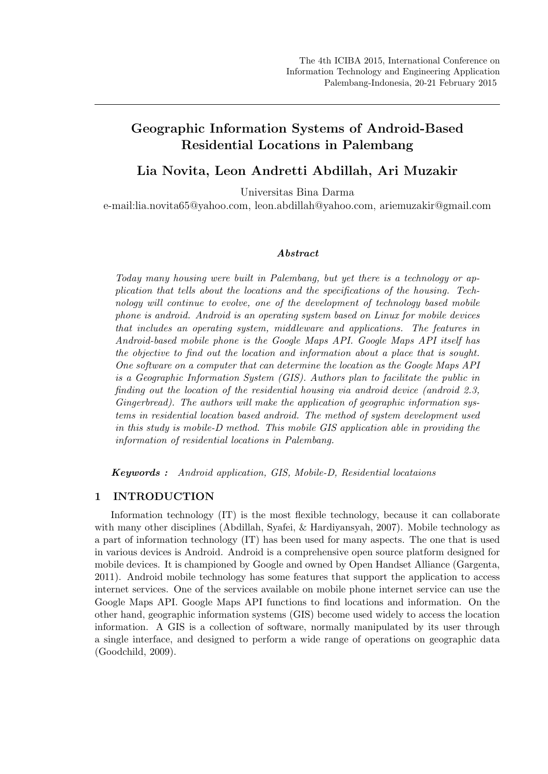# Geographic Information Systems of Android-Based Residential Locations in Palembang

Lia Novita, Leon Andretti Abdillah, Ari Muzakir

Universitas Bina Darma

e-mail:lia.novita65@yahoo.com, leon.abdillah@yahoo.com, ariemuzakir@gmail.com

#### Abstract

Today many housing were built in Palembang, but yet there is a technology or application that tells about the locations and the specifications of the housing. Technology will continue to evolve, one of the development of technology based mobile phone is android. Android is an operating system based on Linux for mobile devices that includes an operating system, middleware and applications. The features in Android-based mobile phone is the Google Maps API. Google Maps API itself has the objective to find out the location and information about a place that is sought. One software on a computer that can determine the location as the Google Maps API is a Geographic Information System (GIS). Authors plan to facilitate the public in finding out the location of the residential housing via android device (android 2.3, Gingerbread). The authors will make the application of geographic information systems in residential location based android. The method of system development used in this study is mobile-D method. This mobile GIS application able in providing the information of residential locations in Palembang.

Keywords : Android application, GIS, Mobile-D, Residential locataions

# 1 INTRODUCTION

Information technology (IT) is the most flexible technology, because it can collaborate with many other disciplines (Abdillah, Syafei, & Hardiyansyah, 2007). Mobile technology as a part of information technology (IT) has been used for many aspects. The one that is used in various devices is Android. Android is a comprehensive open source platform designed for mobile devices. It is championed by Google and owned by Open Handset Alliance (Gargenta, 2011). Android mobile technology has some features that support the application to access internet services. One of the services available on mobile phone internet service can use the Google Maps API. Google Maps API functions to find locations and information. On the other hand, geographic information systems (GIS) become used widely to access the location information. A GIS is a collection of software, normally manipulated by its user through a single interface, and designed to perform a wide range of operations on geographic data (Goodchild, 2009).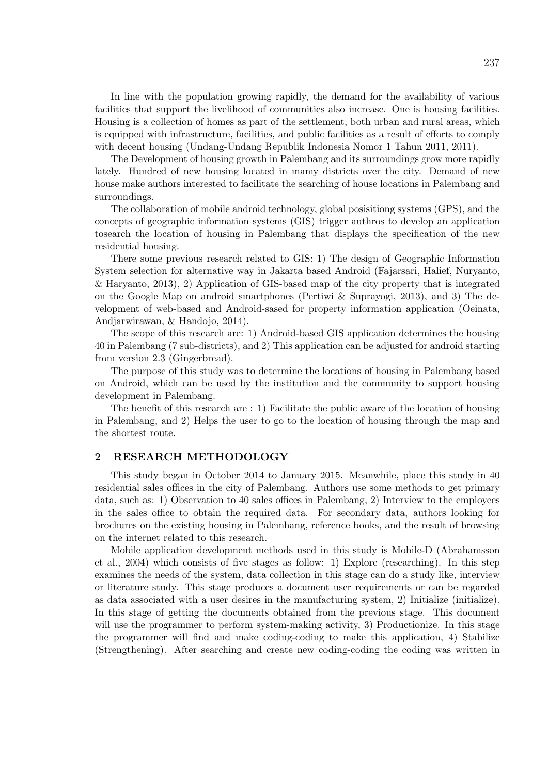In line with the population growing rapidly, the demand for the availability of various facilities that support the livelihood of communities also increase. One is housing facilities. Housing is a collection of homes as part of the settlement, both urban and rural areas, which is equipped with infrastructure, facilities, and public facilities as a result of efforts to comply with decent housing (Undang-Undang Republik Indonesia Nomor 1 Tahun 2011, 2011).

The Development of housing growth in Palembang and its surroundings grow more rapidly lately. Hundred of new housing located in mamy districts over the city. Demand of new house make authors interested to facilitate the searching of house locations in Palembang and surroundings.

The collaboration of mobile android technology, global posisitiong systems (GPS), and the concepts of geographic information systems (GIS) trigger authros to develop an application tosearch the location of housing in Palembang that displays the specification of the new residential housing.

There some previous research related to GIS: 1) The design of Geographic Information System selection for alternative way in Jakarta based Android (Fajarsari, Halief, Nuryanto, & Haryanto, 2013), 2) Application of GIS-based map of the city property that is integrated on the Google Map on android smartphones (Pertiwi & Suprayogi, 2013), and 3) The development of web-based and Android-sased for property information application (Oeinata, Andjarwirawan, & Handojo, 2014).

The scope of this research are: 1) Android-based GIS application determines the housing 40 in Palembang (7 sub-districts), and 2) This application can be adjusted for android starting from version 2.3 (Gingerbread).

The purpose of this study was to determine the locations of housing in Palembang based on Android, which can be used by the institution and the community to support housing development in Palembang.

The benefit of this research are : 1) Facilitate the public aware of the location of housing in Palembang, and 2) Helps the user to go to the location of housing through the map and the shortest route.

# 2 RESEARCH METHODOLOGY

This study began in October 2014 to January 2015. Meanwhile, place this study in 40 residential sales offices in the city of Palembang. Authors use some methods to get primary data, such as: 1) Observation to 40 sales offices in Palembang, 2) Interview to the employees in the sales office to obtain the required data. For secondary data, authors looking for brochures on the existing housing in Palembang, reference books, and the result of browsing on the internet related to this research.

Mobile application development methods used in this study is Mobile-D (Abrahamsson et al., 2004) which consists of five stages as follow: 1) Explore (researching). In this step examines the needs of the system, data collection in this stage can do a study like, interview or literature study. This stage produces a document user requirements or can be regarded as data associated with a user desires in the manufacturing system, 2) Initialize (initialize). In this stage of getting the documents obtained from the previous stage. This document will use the programmer to perform system-making activity, 3) Productionize. In this stage the programmer will find and make coding-coding to make this application, 4) Stabilize (Strengthening). After searching and create new coding-coding the coding was written in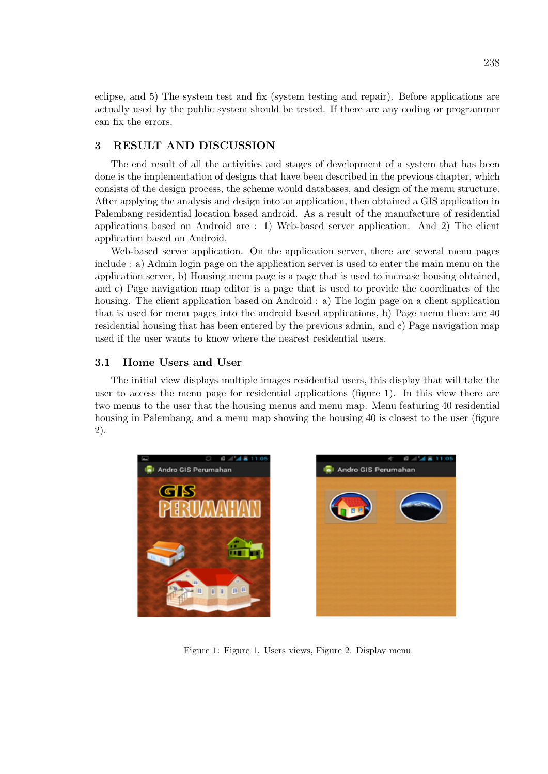eclipse, and 5) The system test and fix (system testing and repair). Before applications are actually used by the public system should be tested. If there are any coding or programmer can fix the errors.

# 3 RESULT AND DISCUSSION

The end result of all the activities and stages of development of a system that has been done is the implementation of designs that have been described in the previous chapter, which consists of the design process, the scheme would databases, and design of the menu structure. After applying the analysis and design into an application, then obtained a GIS application in Palembang residential location based android. As a result of the manufacture of residential applications based on Android are : 1) Web-based server application. And 2) The client application based on Android.

Web-based server application. On the application server, there are several menu pages include : a) Admin login page on the application server is used to enter the main menu on the application server, b) Housing menu page is a page that is used to increase housing obtained, and c) Page navigation map editor is a page that is used to provide the coordinates of the housing. The client application based on Android : a) The login page on a client application that is used for menu pages into the android based applications, b) Page menu there are 40 residential housing that has been entered by the previous admin, and c) Page navigation map used if the user wants to know where the nearest residential users.

### 3.1 Home Users and User

The initial view displays multiple images residential users, this display that will take the user to access the menu page for residential applications (figure 1). In this view there are two menus to the user that the housing menus and menu map. Menu featuring 40 residential housing in Palembang, and a menu map showing the housing 40 is closest to the user (figure 2).





Figure 1: Figure 1. Users views, Figure 2. Display menu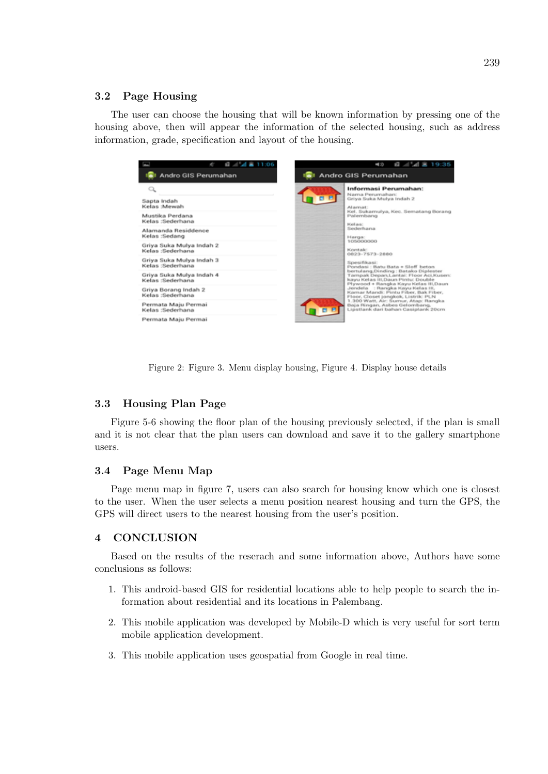# 3.2 Page Housing

The user can choose the housing that will be known information by pressing one of the housing above, then will appear the information of the selected housing, such as address information, grade, specification and layout of the housing.

| 62                                                                                       |
|------------------------------------------------------------------------------------------|
| Andro GIS Perumahan                                                                      |
| Sapta Indah<br>Kelas :Mewah<br>Mustika Perdana<br>Kelas :Sederhana                       |
| Alamanda Residdence<br>Kelas:Sedang<br>Griya Suka Mulya Indah 2                          |
| Kelas :Sederhana<br>Griya Suka Mulya Indah 3<br>Kelas :Sederhana                         |
| Griya Suka Mulya Indah 4<br>Kelas :Sederhana<br>Griya Borang Indah 2<br>Kelas :Sederhana |
| Permata Maju Permai<br>Kelas :Sederhana                                                  |
| Permata Maju Permai                                                                      |

Figure 2: Figure 3. Menu display housing, Figure 4. Display house details

#### 3.3 Housing Plan Page

Figure 5-6 showing the floor plan of the housing previously selected, if the plan is small and it is not clear that the plan users can download and save it to the gallery smartphone users.

#### 3.4 Page Menu Map

Page menu map in figure 7, users can also search for housing know which one is closest to the user. When the user selects a menu position nearest housing and turn the GPS, the GPS will direct users to the nearest housing from the user's position.

## 4 CONCLUSION

Based on the results of the reserach and some information above, Authors have some conclusions as follows:

- 1. This android-based GIS for residential locations able to help people to search the information about residential and its locations in Palembang.
- 2. This mobile application was developed by Mobile-D which is very useful for sort term mobile application development.
- 3. This mobile application uses geospatial from Google in real time.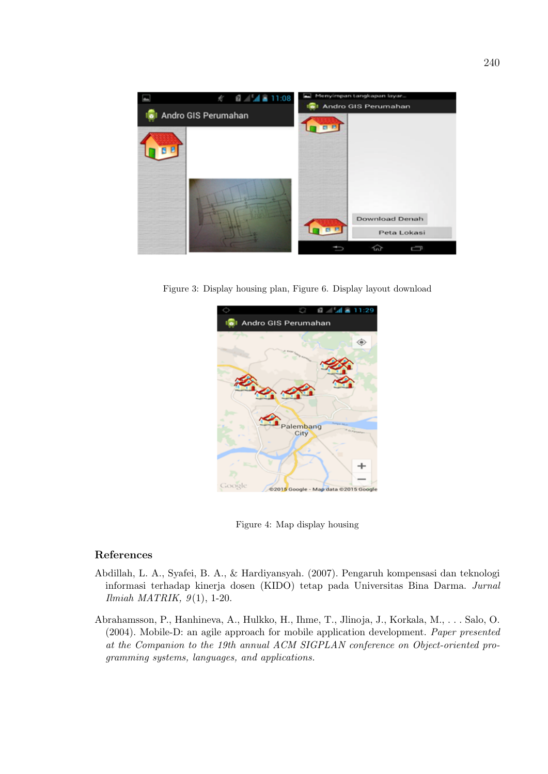

Figure 3: Display housing plan, Figure 6. Display layout download



Figure 4: Map display housing

# References

- Abdillah, L. A., Syafei, B. A., & Hardiyansyah. (2007). Pengaruh kompensasi dan teknologi informasi terhadap kinerja dosen (KIDO) tetap pada Universitas Bina Darma. Jurnal Ilmiah MATRIK,  $9(1)$ , 1-20.
- Abrahamsson, P., Hanhineva, A., Hulkko, H., Ihme, T., Jlinoja, J., Korkala, M., . . . Salo, O. (2004). Mobile-D: an agile approach for mobile application development. Paper presented at the Companion to the 19th annual ACM SIGPLAN conference on Object-oriented programming systems, languages, and applications.